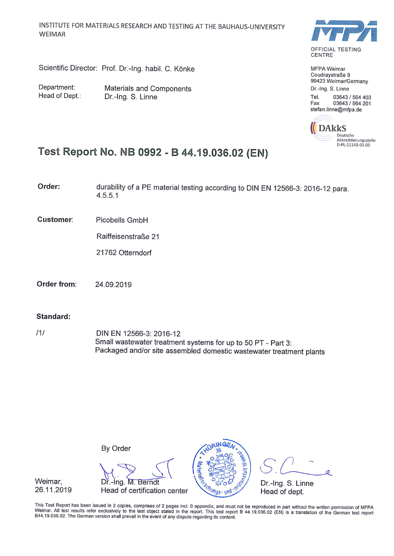Scientific Director: Prof. Dr.-Ing. habil. C. Könke

Department: Head of Dept.:

**Materials and Components** Dr.-Ing. S. Linne



MFPA Weimar Coudravstraße 9 99423 Weimar/Germany Dr.-Ing. S. Linne

Tel. 03643 / 564 403 Fax 03643 / 564 201 stefan.linne@mfpa.de



Q

# Test Report No. NB 0992 - B 44.19.036.02 (EN)

Order: durability of a PE material testing according to DIN EN 12566-3: 2016-12 para.  $4.5.5.1$ 

**Customer:** Picobells GmbH

Raiffeisenstraße 21

21762 Otterndorf

Order from: 24.09.2019

#### Standard:

 $111$ DIN EN 12566-3: 2016-12 Small wastewater treatment systems for up to 50 PT - Part 3: Packaged and/or site assembled domestic wastewater treatment plants

By Order



Weimar. 26.11.2019

This Test Report has been issued in 2 copies, comprises of 2 pages incl. 0 appendix, and must not be reproduced in part without the written permission of MFPA Weimar. All test results refer exclusively to the test object stated in the report. This test report B 44.19.036.02 (EN) is a translation of the German test report B44.19.036.02. The German version shall prevail in the event of any dispute regarding its content.